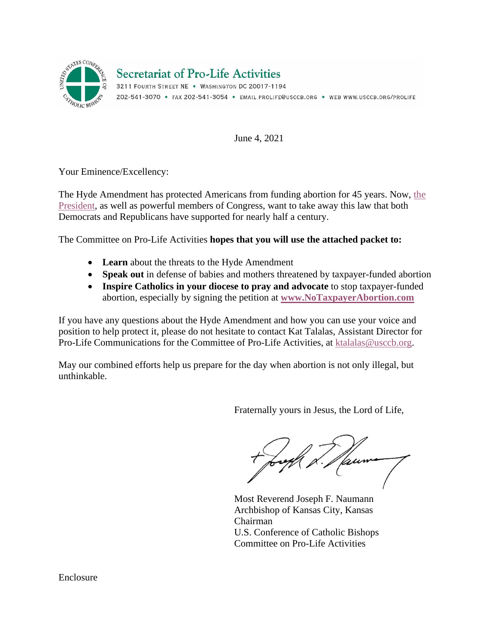

# **Secretariat of Pro-Life Activities**

3211 FOURTH STREET NE . WASHINGTON DC 20017-1194 202-541-3070 · FAX 202-541-3054 · EMAIL PROLIFE@USCCB.ORG · WEB WWW.USCCB.ORG/PROLIFE

June 4, 2021

Your Eminence/Excellency:

The Hyde Amendment has protected Americans from funding abortion for 45 years. Now, [the](https://www.usccb.org/news/2021/us-bishops-pro-life-chairman-reacts-presidents-removal-hyde-amendment-federal-budget)  [President,](https://www.usccb.org/news/2021/us-bishops-pro-life-chairman-reacts-presidents-removal-hyde-amendment-federal-budget) as well as powerful members of Congress, want to take away this law that both Democrats and Republicans have supported for nearly half a century.

The Committee on Pro-Life Activities **hopes that you will use the attached packet to:**

- **Learn** about the threats to the Hyde Amendment
- **Speak out** in defense of babies and mothers threatened by taxpayer-funded abortion
- **Inspire Catholics in your diocese to pray and advocate** to stop taxpayer-funded abortion, especially by signing the petition at **[www.NoTaxpayerAbortion.com](http://www.notaxpayerabortion.com/)**

If you have any questions about the Hyde Amendment and how you can use your voice and position to help protect it, please do not hesitate to contact Kat Talalas, Assistant Director for Pro-Life Communications for the Committee of Pro-Life Activities, at [ktalalas@usccb.org.](mailto:ktalalas@usccb.org)

May our combined efforts help us prepare for the day when abortion is not only illegal, but unthinkable.

Fraternally yours in Jesus, the Lord of Life,

Jaume

Most Reverend Joseph F. Naumann Archbishop of Kansas City, Kansas Chairman U.S. Conference of Catholic Bishops Committee on Pro-Life Activities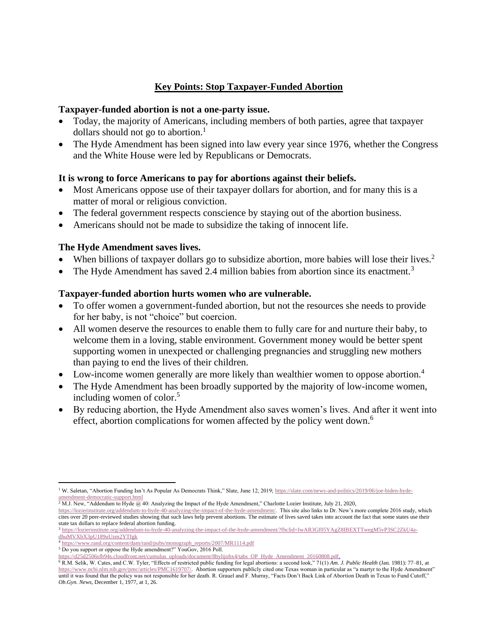## **Key Points: Stop Taxpayer-Funded Abortion**

#### **Taxpayer-funded abortion is not a one-party issue.**

- Today, the majority of Americans, including members of both parties, agree that taxpayer dollars should not go to abortion.<sup>1</sup>
- The Hyde Amendment has been signed into law every year since 1976, whether the Congress and the White House were led by Republicans or Democrats.

## **It is wrong to force Americans to pay for abortions against their beliefs.**

- Most Americans oppose use of their taxpayer dollars for abortion, and for many this is a matter of moral or religious conviction.
- The federal government respects conscience by staying out of the abortion business.
- Americans should not be made to subsidize the taking of innocent life.

### **The Hyde Amendment saves lives.**

- When billions of taxpayer dollars go to subsidize abortion, more babies will lose their lives.<sup>2</sup>
- The Hyde Amendment has saved 2.4 million babies from abortion since its enactment.<sup>3</sup>

### **Taxpayer-funded abortion hurts women who are vulnerable.**

- To offer women a government-funded abortion, but not the resources she needs to provide for her baby, is not "choice" but coercion.
- All women deserve the resources to enable them to fully care for and nurture their baby, to welcome them in a loving, stable environment. Government money would be better spent supporting women in unexpected or challenging pregnancies and struggling new mothers than paying to end the lives of their children.
- Low-income women generally are more likely than wealthier women to oppose abortion.<sup>4</sup>
- The Hyde Amendment has been broadly supported by the majority of low-income women, including women of color.<sup>5</sup>
- By reducing abortion, the Hyde Amendment also saves women's lives. And after it went into effect, abortion complications for women affected by the policy went down.<sup>6</sup>

[amendment-democratic-support.html](https://slate.com/news-and-politics/2019/06/joe-biden-hyde-amendment-democratic-support.html)<br><sup>2</sup> M.J. New, "Addendum to Hyde @ 40: Analyzing the Impact of the Hyde Amendment," Charlotte Lozier Institute, July 21, 2020,

<sup>&</sup>lt;sup>1</sup> W. Saletan, "Abortion Funding Isn't As Popular As Democrats Think," Slate, June 12, 2019; [https://slate.com/news-and-politics/2019/06/joe-biden-hyde-](https://slate.com/news-and-politics/2019/06/joe-biden-hyde-amendment-democratic-support.html)

[https://lozierinstitute.org/addendum-to-hyde-40-analyzing-the-impact-of-the-hyde-amendment/.](https://lozierinstitute.org/addendum-to-hyde-40-analyzing-the-impact-of-the-hyde-amendment/) This site also links to Dr. New's more complete 2016 study, which cites over 20 peer-reviewed studies showing that such laws help prevent abortions. The estimate of lives saved takes into account the fact that some states use their state tax dollars to replace federal abortion funding.

<sup>3</sup> [https://lozierinstitute.org/addendum-to-hyde-40-analyzing-the-impact-of-the-hyde-amendment/?fbclid=IwAR3Gf05YAgZ8IBEXTTwegM5vP3SC2ZkU4a](https://lozierinstitute.org/addendum-to-hyde-40-analyzing-the-impact-of-the-hyde-amendment/?fbclid=IwAR3Gf05YAgZ8IBEXTTwegM5vP3SC2ZkU4a-dhuMVXbX3pU189uUzm2YTfgk)[dhuMVXbX3pU189uUzm2YTfgk](https://lozierinstitute.org/addendum-to-hyde-40-analyzing-the-impact-of-the-hyde-amendment/?fbclid=IwAR3Gf05YAgZ8IBEXTTwegM5vP3SC2ZkU4a-dhuMVXbX3pU189uUzm2YTfgk)

<sup>4</sup> [https://www.rand.org/content/dam/rand/pubs/monograph\\_reports/2007/MR1114.pdf](https://www.rand.org/content/dam/rand/pubs/monograph_reports/2007/MR1114.pdf) <sup>5</sup> Do you support or oppose the Hyde amendment?" YouGov, 2016 Poll.

[https://d25d2506sfb94s.cloudfront.net/cumulus\\_uploads/document/8bylijohx4/tabs\\_OP\\_Hyde\\_Amendment\\_20160808.pdf.](https://d25d2506sfb94s.cloudfront.net/cumulus_uploads/document/8bylijohx4/tabs_OP_Hyde_Amendment_20160808.pdf)

<sup>6</sup> R.M. Selik, W. Cates, and C.W. Tyler, "Effects of restricted public funding for legal abortions: a second look," 71(1) *Am. J. Public Health* (Jan. 1981): 77–81, at [https://www.ncbi.nlm.nih.gov/pmc/articles/PMC1619707/.](https://www.ncbi.nlm.nih.gov/pmc/articles/PMC1619707/) Abortion supporters publicly cited one Texas woman in particular as "a martyr to the Hyde Amendment" until it was found that the policy was not responsible for her death. R. Grauel and F. Murray, "Facts Don't Back Link of Abortion Death in Texas to Fund Cutoff," *Ob.Gyn. News*, December 1, 1977, at 1, 26.